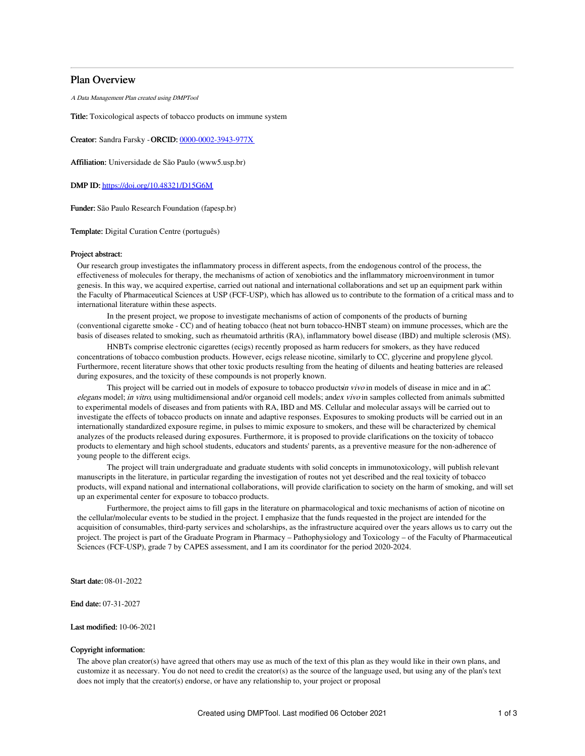## Plan Overview

A Data Management Plan created using DMPTool

Title: Toxicological aspects of tobacco products on immune system

Creator: Sandra Farsky -ORCID: [0000-0002-3943-977X](https://orcid.org/0000-0002-3943-977X)

Affiliation: Universidade de São Paulo (www5.usp.br)

DMP ID: <https://doi.org/10.48321/D15G6M>

Funder: São Paulo Research Foundation (fapesp.br)

Template: Digital Curation Centre (português)

### Project abstract:

Our research group investigates the inflammatory process in different aspects, from the endogenous control of the process, the effectiveness of molecules for therapy, the mechanisms of action of xenobiotics and the inflammatory microenvironment in tumor genesis. In this way, we acquired expertise, carried out national and international collaborations and set up an equipment park within the Faculty of Pharmaceutical Sciences at USP (FCF-USP), which has allowed us to contribute to the formation of a critical mass and to international literature within these aspects.

In the present project, we propose to investigate mechanisms of action of components of the products of burning (conventional cigarette smoke - CC) and of heating tobacco (heat not burn tobacco-HNBT steam) on immune processes, which are the basis of diseases related to smoking, such as rheumatoid arthritis (RA), inflammatory bowel disease (IBD) and multiple sclerosis (MS).

HNBTs comprise electronic cigarettes (ecigs) recently proposed as harm reducers for smokers, as they have reduced concentrations of tobacco combustion products. However, ecigs release nicotine, similarly to CC, glycerine and propylene glycol. Furthermore, recent literature shows that other toxic products resulting from the heating of diluents and heating batteries are released during exposures, and the toxicity of these compounds is not properly known.

This project will be carried out in models of exposure to tobacco productsin vivo in models of disease in mice and in aC. elegans model; in vitro, using multidimensional and/or organoid cell models; andex vivo in samples collected from animals submitted to experimental models of diseases and from patients with RA, IBD and MS. Cellular and molecular assays will be carried out to investigate the effects of tobacco products on innate and adaptive responses. Exposures to smoking products will be carried out in an internationally standardized exposure regime, in pulses to mimic exposure to smokers, and these will be characterized by chemical analyzes of the products released during exposures. Furthermore, it is proposed to provide clarifications on the toxicity of tobacco products to elementary and high school students, educators and students' parents, as a preventive measure for the non-adherence of young people to the different ecigs.

The project will train undergraduate and graduate students with solid concepts in immunotoxicology, will publish relevant manuscripts in the literature, in particular regarding the investigation of routes not yet described and the real toxicity of tobacco products, will expand national and international collaborations, will provide clarification to society on the harm of smoking, and will set up an experimental center for exposure to tobacco products.

Furthermore, the project aims to fill gaps in the literature on pharmacological and toxic mechanisms of action of nicotine on the cellular/molecular events to be studied in the project. I emphasize that the funds requested in the project are intended for the acquisition of consumables, third-party services and scholarships, as the infrastructure acquired over the years allows us to carry out the project. The project is part of the Graduate Program in Pharmacy – Pathophysiology and Toxicology – of the Faculty of Pharmaceutical Sciences (FCF-USP), grade 7 by CAPES assessment, and I am its coordinator for the period 2020-2024.

Start date: 08-01-2022

End date: 07-31-2027

Last modified: 10-06-2021

## Copyright information:

The above plan creator(s) have agreed that others may use as much of the text of this plan as they would like in their own plans, and customize it as necessary. You do not need to credit the creator(s) as the source of the language used, but using any of the plan's text does not imply that the creator(s) endorse, or have any relationship to, your project or proposal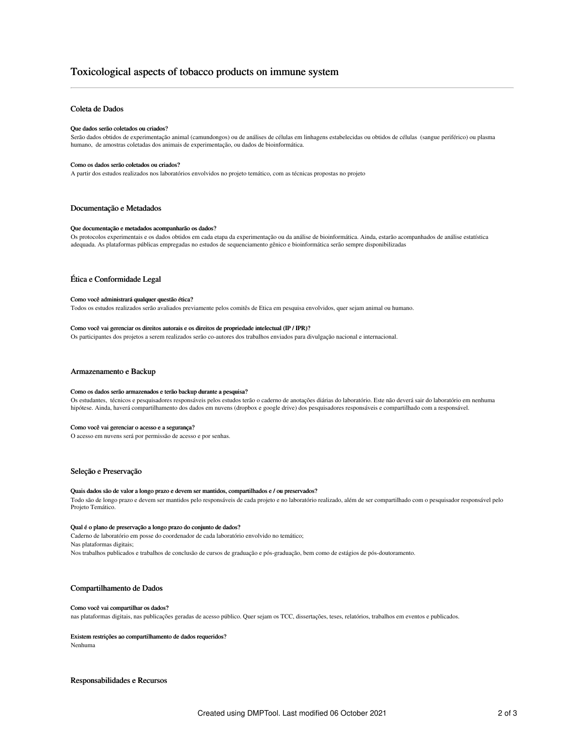# Toxicological aspects of tobacco products on immune system

## Coleta de Dados

### Que dados serão coletados ou criados?

Serão dados obtidos de experimentação animal (camundongos) ou de análises de células em linhagens estabelecidas ou obtidos de células (sangue periférico) ou plasma humano, de amostras coletadas dos animais de experimentação, ou dados de bioinformática.

### Como os dados serão coletados ou criados?

A partir dos estudos realizados nos laboratórios envolvidos no projeto temático, com as técnicas propostas no projeto

### Documentação e Metadados

#### Que documentação e metadados acompanharão os dados?

Os protocolos experimentais e os dados obtidos em cada etapa da experimentação ou da análise de bioinformática. Ainda, estarão acompanhados de análise estatística adequada. As plataformas públicas empregadas no estudos de sequenciamento gênico e bioinformática serão sempre disponibilizadas

### Ética e Conformidade Legal

### Como você administrará qualquer questão ética?

Todos os estudos realizados serão avaliados previamente pelos comitês de Etica em pesquisa envolvidos, quer sejam animal ou humano.

### Como você vai gerenciar os direitos autorais e os direitos de propriedade intelectual (IP / IPR)?

Os participantes dos projetos a serem realizados serão co-autores dos trabalhos enviados para divulgação nacional e internacional.

### Armazenamento e Backup

#### Como os dados serão armazenados e terão backup durante a pesquisa?

Os estudantes, técnicos e pesquisadores responsáveis pelos estudos terão o caderno de anotações diárias do laboratório. Este não deverá sair do laboratório em nenhuma hipótese. Ainda, haverá compartilhamento dos dados em nuvens (dropbox e google drive) dos pesquisadores responsáveis e compartilhado com a responsável.

#### Como você vai gerenciar o acesso e a segurança?

O acesso em nuvens será por permissão de acesso e por senhas.

## Seleção e Preservação

### Quais dados são de valor a longo prazo e devem ser mantidos, compartilhados e / ou preservados?

Todo são de longo prazo e devem ser mantidos pelo responsáveis de cada projeto e no laboratório realizado, além de ser compartilhado com o pesquisador responsável pelo Projeto Temático.

#### Qual é o plano de preservação a longo prazo do conjunto de dados?

Caderno de laboratório em posse do coordenador de cada laboratório envolvido no temático; Nas plataformas digitais; Nos trabalhos publicados e trabalhos de conclusão de cursos de graduação e pós-graduação, bem como de estágios de pós-doutoramento.

## Compartilhamento de Dados

## Como você vai compartilhar os dados?

nas plataformas digitais, nas publicações geradas de acesso público. Quer sejam os TCC, dissertações, teses, relatórios, trabalhos em eventos e publicados.

#### Existem restrições ao compartilhamento de dados requeridos?

Nenhuma

## Responsabilidades e Recursos